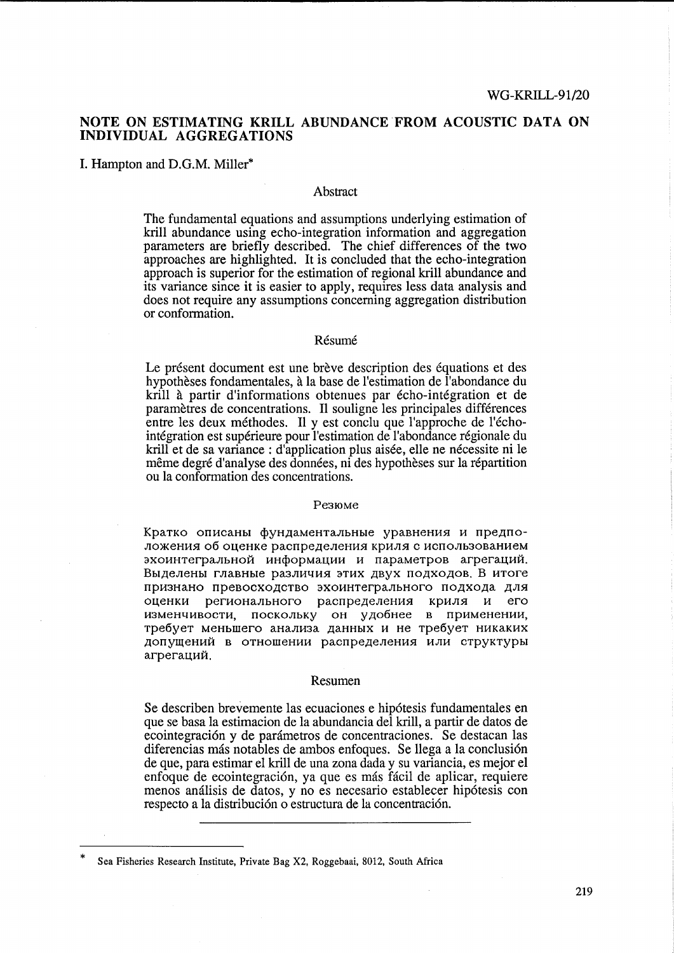# **NOTE ON ESTIMATING KRILL** ABUNDANCE FROM **ACOUSTIC DATA ON INDIVIDUAL AGGREGATIONS**

I. Hampton and D.G.M. Miller\*

## Abstract

The fundamental equations and assumptions underlying estimation of krill abundance using echo-integration information and aggregation parameters are briefly described. The chief differences of the two approaches are highlighted. It is concluded that the echo-integration approach is superior for the estimation of regional kriU abundance and its variance since it is easier to apply, requires less data analysis and does not require any assumptions concerning aggregation distribution or conformation.

## Résumé

Le présent document est une brève description des équations et des hypothèses fondamentales, à la base de l'estimation de l'abondance du krill à partir d'informations obtenues par écho-intégration et de parametres de concentrations. I1 souligne les principales differences entre les deux méthodes. Il y est conclu que l'approche de l'échointegration est superieure pour l'estimation de l'abondance regionale du krill et de sa variance : d'application plus aisée, elle ne nécessite ni le même degré d'analyse des données, ni des hypothèses sur la répartition ou la conformation des concentrations.

#### Pe310Me

Кратко описаны фундаментальные уравнения и предположения об оценке распределения криля с использованием эхоинтегральной информации и параметров агрегаций. Выделены главные различия этих двух подходов. В итоге признано превосходство эхоинтегрального подхода для оценки регионального распределения криля и его изменчивости, поскольку он удобнее в применении, требует меньшего анализа данных и не требует никаких допущений в отношении распределения или структуры агрегаций.

#### Resumen

Se describen brevemente las ecuaciones e hipotesis fundamentales en que se basa la estimacion de la abundancia del kriIl, a partir de datos de ecointegración y de parámetros de concentraciones. Se destacan las diferencias más notables de ambos enfoques. Se llega a la conclusión de que, para estimar el kriU de una zona dada y su variancia, es mejor el enfoque de ecointegracion, ya que es mas facil de aplicar, requiere menos analisis de datos, y no es necesario establecer hipotesis con respecto a la distribución o estructura de la concentración.

Sea Fisheries Research Institute, Private Bag X2, Roggebaai, 8012, South Africa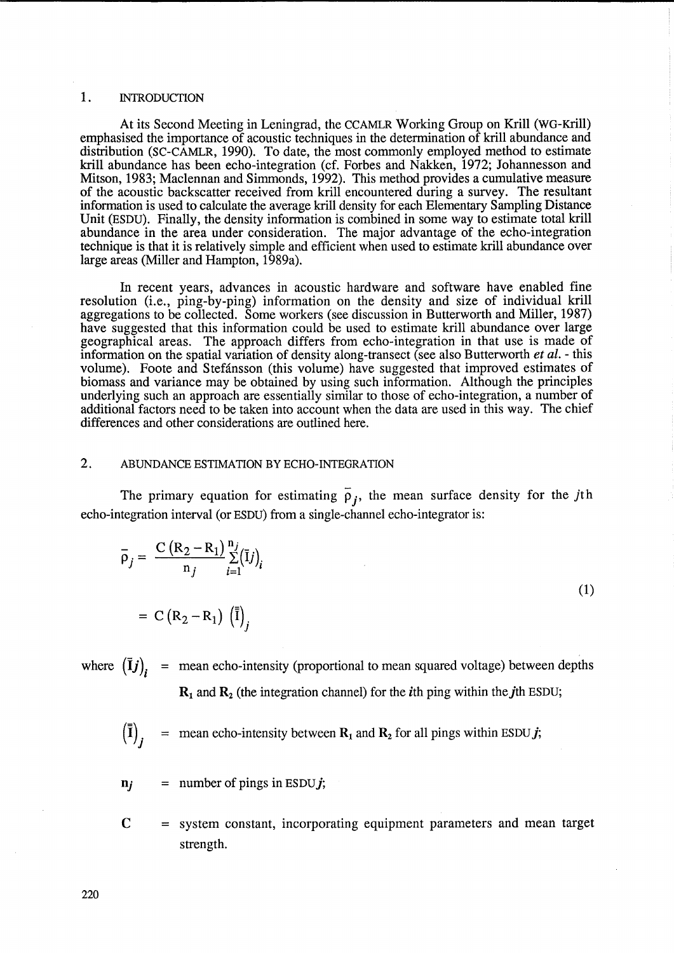#### 1. INTRODUCTION

At its Second Meeting in Leningrad, the CCAMLR Working Group on Krill (WG-Krill) emphasised the importance of acoustic techniques in the determination of krill abundance and distribution (SC-CAMLR, 1990). To date, the most commonly employed method to estimate krill abundance has been echo-integration (cf. Forbes and Nakken, 1972; Johannesson and Mitson, 1983; Maclennan and Simmonds, 1992). This method provides a cumulative measure of the acoustic backscatter received from krill encountered during a survey. The resultant information is used to calculate the average kriU density for each Elementary Sampling Distance Unit (ESDU). Finally, the density information is combined in some way to estimate total krill abundance in the area under consideration. The major advantage of the echo-integration technique is that it is relatively simple and efficient when used to estimate krill abundance over large areas (Miller and Hampton, 1989a).

In recent years, advances in acoustic hardware and software have enabled fine resolution (i.e., ping-by-ping) information on the density and size of individual krill aggregations to be collected. Some workers (see discussion in Butterworth and Miller, 1987) have suggested that this information could be used to estimate krill abundance over large geographical areas. The approach differs from echo-integration in that use is made of information on the spatial variation of density along-transect (see also Butterworth *et al.* - this volume). Foote and Stefánsson (this volume) have suggested that improved estimates of biomass and variance may be obtained by using such information. Although the principles underlying such an approach are essentially similar to those of echo-integration, a number of additional factors need to be taken into account when the data are used in this way. The chief differences and other considerations are outlined here.

## 2. ABUNDANCE ESTIMATION BY ECHO-INTEGRATION

The primary equation for estimating  $\overline{\rho}_i$ , the mean surface density for the jth echo-integration interval (or ESDU) from a single-channel echo-integrator is:

$$
\overline{\rho}_j = \frac{C (R_2 - R_1)}{n_j} \sum_{i=1}^{n_j} (\overline{I}j)_i
$$
  
= C (R\_2 - R\_1)  $(\overline{\overline{I}})_j$  (1)

where  $(\bar{I}j)$ , = mean echo-intensity (proportional to mean squared voltage) between depths  $R_1$  and  $R_2$  (the integration channel) for the *i*th ping within the *j*th ESDU;

= mean echo-intensity between  $\mathbf{R}_1$  and  $\mathbf{R}_2$  for all pings within ESDU *j*;  $\left(\overline{\mathbf{I}}\right)$ 

- $n_i$  = number of pings in ESDU*j*;
- $C =$  system constant, incorporating equipment parameters and mean target strength.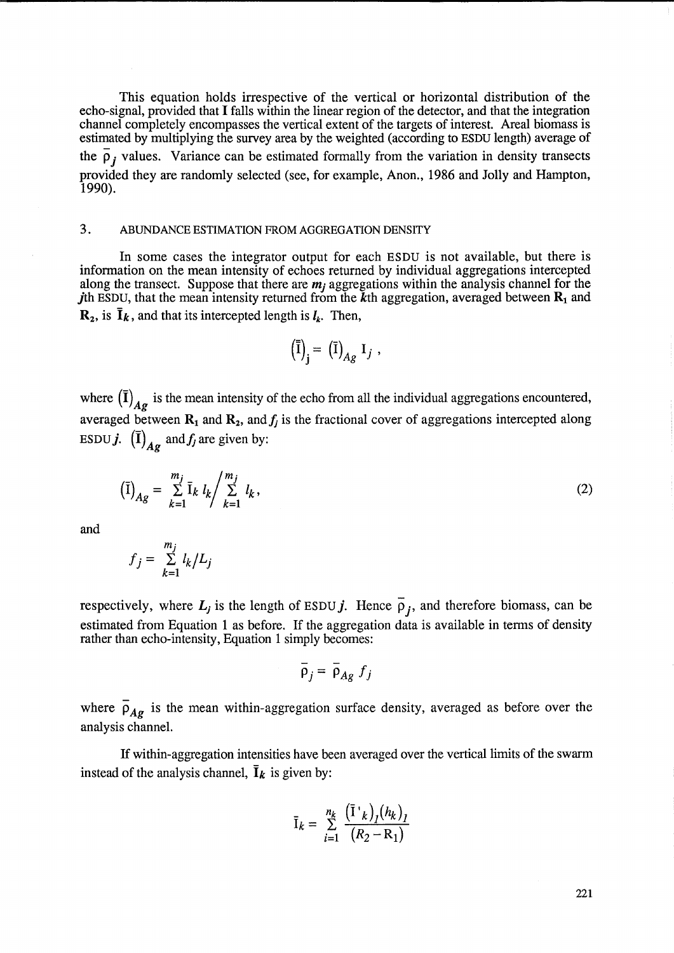This equation holds irrespective of the vertical or horizontal distribution of the echo-signal, provided that I falls within the linear region of the detector, and that the integration channel completely encompasses the vertical extent of the targets of interest. Areal biomass is estimated by multiplying the survey area by the weighted (according to ESDU length) average of the  $\overline{\rho}_i$  values. Variance can be estimated formally from the variation in density transects provided they are randomly selected (see, for example, Anon., 1986 and Jolly and Hampton, 1990).

# 3. ABUNDANCE ESTIMATION FROM AGGREGATION DENSITY

In some cases the integrator output for each ESDU is not available, but there is information on the mean intensity of echoes returned by individual aggregations intercepted along the transect. Suppose that there are  $m_i$  aggregations within the analysis channel for the jth ESDU, that the mean intensity returned from the k<sup>th</sup> aggregation, averaged between  $\mathbf{R}_1$  and  $\mathbf{R}_2$ , is  $\bar{\mathbf{I}}_k$ , and that its intercepted length is  $l_k$ . Then,

$$
\left(\overline{\overline{I}}\right)_{j} = \left(\overline{I}\right)_{Ag} I_{j} ,
$$

where  $(\overline{I})_{\overline{A}g}$  is the mean intensity of the echo from all the individual aggregations encountered, averaged between  $\mathbf{R}_1$  and  $\mathbf{R}_2$ , and  $f_j$  is the fractional cover of aggregations intercepted along ESDU *j*.  $(\mathbf{\bar{I}})_{Ag}$  and *f<sub>j</sub>* are given by:

$$
\left(\bar{I}\right)_{Ag} = \sum_{k=1}^{m_j} \bar{I}_k \, l_k / \sum_{k=1}^{m_j} \, l_k \,,\tag{2}
$$

and

$$
f_j = \sum_{k=1}^{m_j} l_k / L_j
$$

respectively, where  $L_j$  is the length of ESDU j. Hence  $\overline{\rho}_j$ , and therefore biomass, can be estimated from Equation 1 as before. If the aggregation data is available in terms of density rather than echo-intensity, Equation 1 simply becomes:<br>  $\overline{\rho}_j = \overline{\rho}_{Ag} f_j$ 

$$
\bar{\rho}_j = \bar{\rho}_{Ag} f_j
$$

where  $\bar{\rho}_{Ag}$  is the mean within-aggregation surface density, averaged as before over the analysis channel.

If within-aggregation intensities have been averaged over the vertical limits of the swarm instead of the analysis channel,  $\bar{I}_k$  is given by:

$$
\overline{I}_k = \sum_{i=1}^{n_k} \frac{(\overline{I}^k)_j (h_k)_j}{(R_2 - R_1)}
$$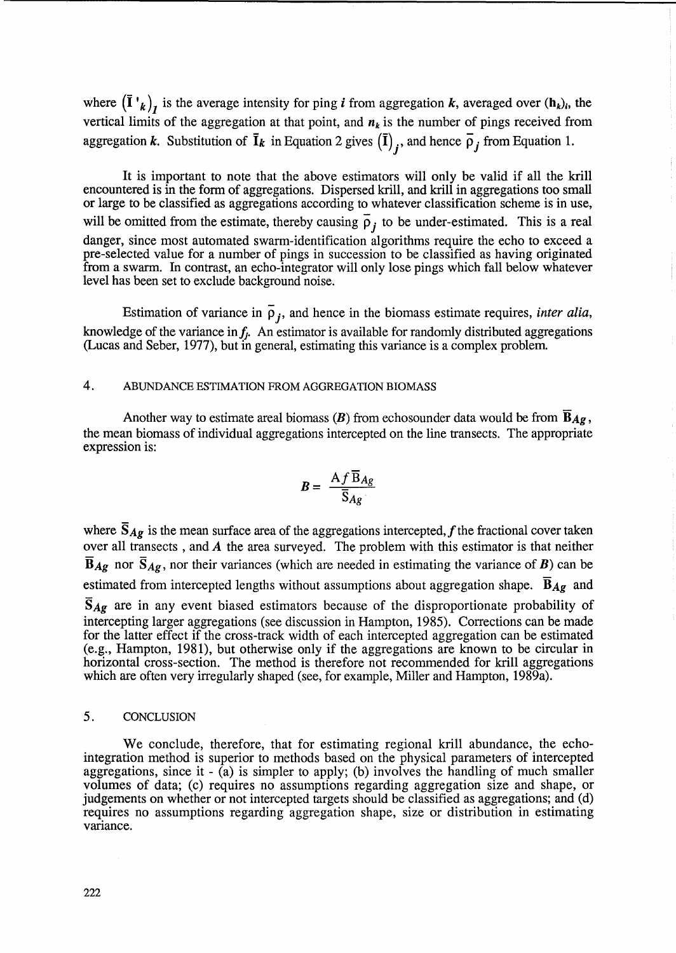where  $(\mathbf{\bar{I}}^{\dagger}\mathbf{k})_i$  is the average intensity for ping *i* from aggregation *k*, averaged over  $(\mathbf{h}_k)_i$ , the vertical limits of the aggregation at that point, and  $n_k$  is the number of pings received from aggregation k. Substitution of  $\bar{I}_k$  in Equation 2 gives  $(\bar{I})_i$ , and hence  $\bar{\rho}_i$  from Equation 1.

It is important to note that the above estimators will only be valid if all the krill encountered is in the form of aggregations. Dispersed krill, and krill in aggregations too small or large to be classified as aggregations according to whatever classification scheme is in use, will be omitted from the estimate, thereby causing  $\overline{p}_i$  to be under-estimated. This is a real danger, since most automated swarm-identification algorithms require the echo to exceed a pre-selected value for a number of pings in succession to be classified as having originated from a swarm. In contrast, an echo-integrator will only lose pings which fall below whatever level has been set to exclude background noise.

Estimation of variance in  $\overline{\rho}_i$ , and hence in the biomass estimate requires, *inter alia*, knowledge of the variance in  $f_j$ . An estimator is available for randomly distributed aggregations (Lucas and Seber, 1977), but in general, estimating this variance is a complex problem.

# 4. ABUNDANCE ESTIMATION FROM AGGREGATION BIOMASS

Another way to estimate areal biomass  $(B)$  from echosounder data would be from  $\overline{B}_{Ag}$ , the mean biomass of individual aggregations intercepted on the line transects. The appropriate expression is:

$$
B = \frac{A f \overline{B}_{Ag}}{\overline{S}_{Ag}}
$$

where  $\bar{S}_{Ag}$  is the mean surface area of the aggregations intercepted, f the fractional cover taken over all transects , and A the area surveyed. The problem with this estimator is that neither  $\overline{B}_{Ag}$  nor  $\overline{S}_{Ag}$ , nor their variances (which are needed in estimating the variance of *B*) can be estimated from intercepted lengths without assumptions about aggregation shape.  $\overline{B}_{Ag}$  and *SAg* are in any event biased estimators because of the disproportionate probability of intercepting larger aggregations (see discussion in Hampton, 1985). Corrections can be made for the latter effect if the cross-track width of each intercepted aggregation can be estimated (e.g., Hampton, 1981), but otherwise only if the aggregations are known to be circular in horizontal cross-section. The method is therefore not recommended for krill aggregations

which are often very irregularly shaped (see, for example, Miller and Hampton, 1989a).

### 5. CONCLUSION

We conclude, therefore, that for estimating regional krill abundance, the echointegration method is superior to methods based on the physical parameters of intercepted aggregations, since it -  $\hat{a}$ ) is simpler to apply; (b) involves the handling of much smaller volumes of data; (c) requires no assumptions regarding aggregation size and shape, or judgements on whether or not intercepted targets should be classified as aggregations; and (d) requires no assumptions regarding aggregation shape, size or distribution in estimating variance.